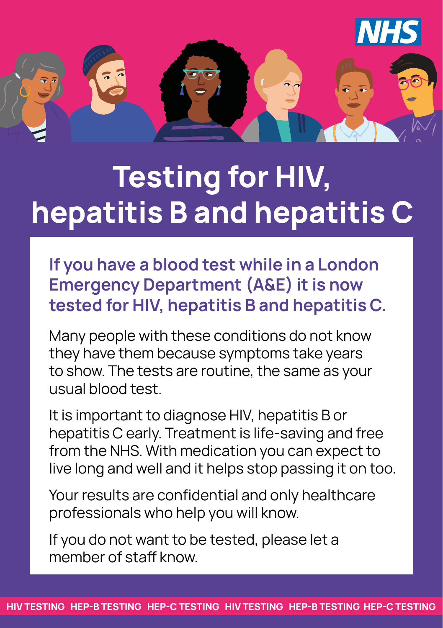

# **Testing for HIV, hepatitis B and hepatitis C**

**If you have a blood test while in a London Emergency Department (A&E) it is now tested for HIV, hepatitis B and hepatitis C.** 

Many people with these conditions do not know they have them because symptoms take years to show. The tests are routine, the same as your usual blood test.

It is important to diagnose HIV, hepatitis B or hepatitis C early. Treatment is life-saving and free from the NHS. With medication you can expect to live long and well and it helps stop passing it on too.

Your results are confidential and only healthcare professionals who help you will know.

If you do not want to be tested, please let a member of staff know.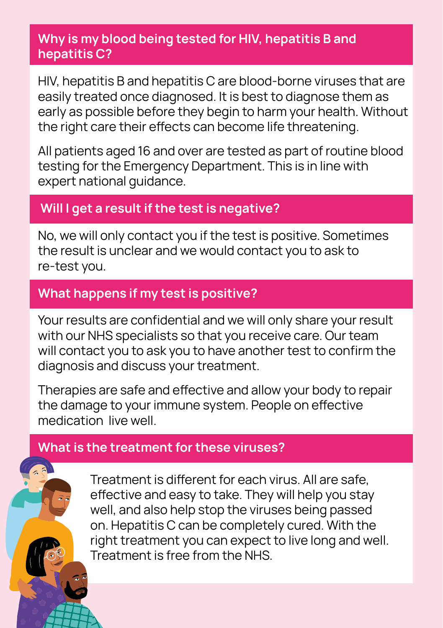## **Why is my blood being tested for HIV, hepatitis B and hepatitis C?**

HIV, hepatitis B and hepatitis C are blood-borne viruses that are easily treated once diagnosed. It is best to diagnose them as early as possible before they begin to harm your health. Without the right care their effects can become life threatening.

All patients aged 16 and over are tested as part of routine blood testing for the Emergency Department. This is in line with expert national guidance.

# **Will I get a result if the test is negative?**

No, we will only contact you if the test is positive. Sometimes the result is unclear and we would contact you to ask to re-test you.

# **What happens if my test is positive?**

Your results are confidential and we will only share your result with our NHS specialists so that you receive care. Our team will contact you to ask you to have another test to confirm the diagnosis and discuss your treatment.

Therapies are safe and effective and allow your body to repair the damage to your immune system. People on effective medication live well.

# **What is the treatment for these viruses?**

Treatment is different for each virus. All are safe, effective and easy to take. They will help you stay well, and also help stop the viruses being passed on. Hepatitis C can be completely cured. With the right treatment you can expect to live long and well. Treatment is free from the NHS.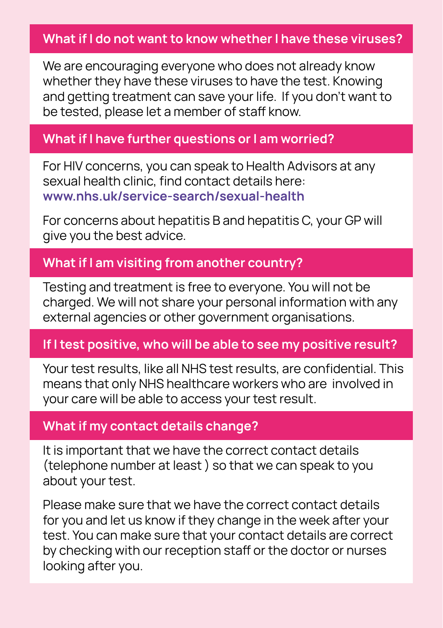## **What if I do not want to know whether I have these viruses?**

We are encouraging everyone who does not already know whether they have these viruses to have the test. Knowing and getting treatment can save your life. If you don't want to be tested, please let a member of staff know.

#### **What if I have further questions or I am worried?**

For HIV concerns, you can speak to Health Advisors at any sexual health clinic, find contact details here: **www.nhs.uk/service-search/sexual-health**

For concerns about hepatitis B and hepatitis C, your GP will give you the best advice.

## **What if I am visiting from another country?**

Testing and treatment is free to everyone. You will not be charged. We will not share your personal information with any external agencies or other government organisations.

## **If I test positive, who will be able to see my positive result?**

Your test results, like all NHS test results, are confidential. This means that only NHS healthcare workers who are involved in your care will be able to access your test result.

#### **What if my contact details change?**

It is important that we have the correct contact details (telephone number at least ) so that we can speak to you about your test.

Please make sure that we have the correct contact details for you and let us know if they change in the week after your test. You can make sure that your contact details are correct by checking with our reception staff or the doctor or nurses looking after you.